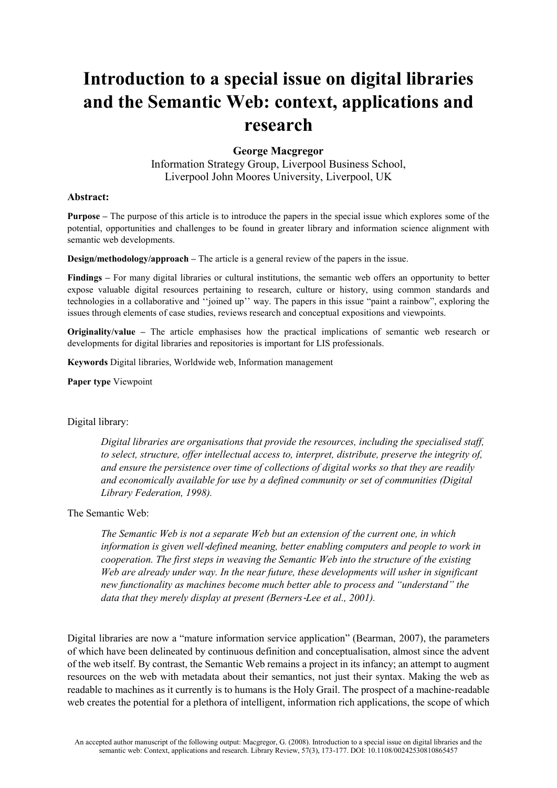# **Introduction to a special issue on digital libraries and the Semantic Web: context, applications and research**

#### **George Macgregor**

Information Strategy Group, Liverpool Business School, Liverpool John Moores University, Liverpool, UK

#### **Abstract:**

**Purpose –** The purpose of this article is to introduce the papers in the special issue which explores some of the potential, opportunities and challenges to be found in greater library and information science alignment with semantic web developments.

**Design/methodology/approach –** The article is a general review of the papers in the issue.

**Findings –** For many digital libraries or cultural institutions, the semantic web offers an opportunity to better expose valuable digital resources pertaining to research, culture or history, using common standards and technologies in a collaborative and ''joined up'' way. The papers in this issue "paint a rainbow", exploring the issues through elements of case studies, reviews research and conceptual expositions and viewpoints.

**Originality/value – The article emphasises how the practical implications of semantic web research or** developments for digital libraries and repositories is important for LIS professionals.

**Keywords** Digital libraries, Worldwide web, Information management

**Paper type** Viewpoint

#### Digital library:

*Digital libraries are organisations that provide the resources, including the specialised staff, to select, structure, offer intellectual access to, interpret, distribute, preserve the integrity of, and ensure the persistence over time of collections of digital works so that they are readily and economically available for use by a defined community or set of communities (Digital Library Federation, 1998).*

The Semantic Web:

*The Semantic Web is not a separate Web but an extension of the current one, in which information is given well-defined meaning, better enabling computers and people to work in cooperation. The first steps in weaving the Semantic Web into the structure of the existing Web are already under way. In the near future, these developments will usher in significant new functionality as machines become much better able to process and "understand" the data that they merely display at present (Berners*‐*Lee et al., 2001).*

Digital libraries are now a "mature information service application" (Bearman, 2007), the parameters of which have been delineated by continuous definition and conceptualisation, almost since the advent of the web itself. By contrast, the Semantic Web remains a project in its infancy; an attempt to augment resources on the web with metadata about their semantics, not just their syntax. Making the web as readable to machines as it currently is to humans is the Holy Grail. The prospect of a machine-readable web creates the potential for a plethora of intelligent, information rich applications, the scope of which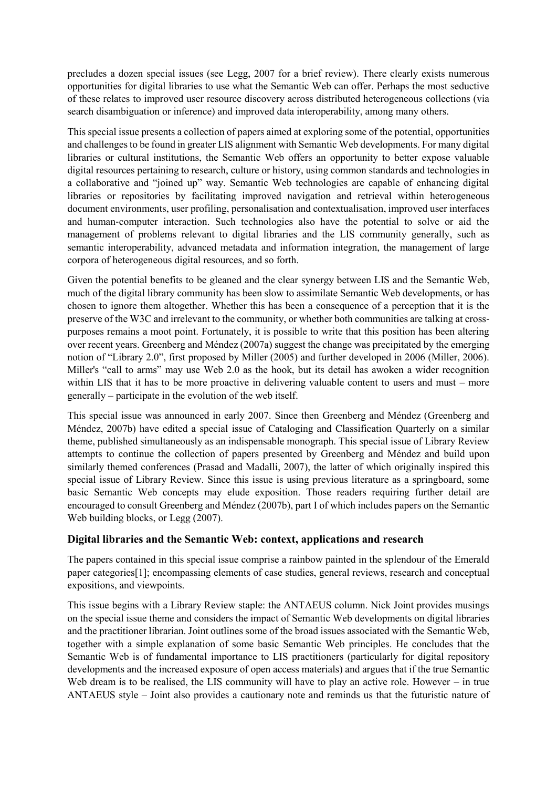precludes a dozen special issues (see Legg, 2007 for a brief review). There clearly exists numerous opportunities for digital libraries to use what the Semantic Web can offer. Perhaps the most seductive of these relates to improved user resource discovery across distributed heterogeneous collections (via search disambiguation or inference) and improved data interoperability, among many others.

This special issue presents a collection of papers aimed at exploring some of the potential, opportunities and challenges to be found in greater LIS alignment with Semantic Web developments. For many digital libraries or cultural institutions, the Semantic Web offers an opportunity to better expose valuable digital resources pertaining to research, culture or history, using common standards and technologies in a collaborative and "joined up" way. Semantic Web technologies are capable of enhancing digital libraries or repositories by facilitating improved navigation and retrieval within heterogeneous document environments, user profiling, personalisation and contextualisation, improved user interfaces and human‐computer interaction. Such technologies also have the potential to solve or aid the management of problems relevant to digital libraries and the LIS community generally, such as semantic interoperability, advanced metadata and information integration, the management of large corpora of heterogeneous digital resources, and so forth.

Given the potential benefits to be gleaned and the clear synergy between LIS and the Semantic Web, much of the digital library community has been slow to assimilate Semantic Web developments, or has chosen to ignore them altogether. Whether this has been a consequence of a perception that it is the preserve of the W3C and irrelevant to the community, or whether both communities are talking at crosspurposes remains a moot point. Fortunately, it is possible to write that this position has been altering over recent years. Greenberg and Méndez (2007a) suggest the change was precipitated by the emerging notion of "Library 2.0", first proposed by Miller (2005) and further developed in 2006 (Miller, 2006). Miller's "call to arms" may use Web 2.0 as the hook, but its detail has awoken a wider recognition within LIS that it has to be more proactive in delivering valuable content to users and must – more generally – participate in the evolution of the web itself.

This special issue was announced in early 2007. Since then Greenberg and Méndez (Greenberg and Méndez, 2007b) have edited a special issue of Cataloging and Classification Quarterly on a similar theme, published simultaneously as an indispensable monograph. This special issue of Library Review attempts to continue the collection of papers presented by Greenberg and Méndez and build upon similarly themed conferences (Prasad and Madalli, 2007), the latter of which originally inspired this special issue of Library Review. Since this issue is using previous literature as a springboard, some basic Semantic Web concepts may elude exposition. Those readers requiring further detail are encouraged to consult Greenberg and Méndez (2007b), part I of which includes papers on the Semantic Web building blocks, or Legg (2007).

## **Digital libraries and the Semantic Web: context, applications and research**

The papers contained in this special issue comprise a rainbow painted in the splendour of the Emerald paper categories[1]; encompassing elements of case studies, general reviews, research and conceptual expositions, and viewpoints.

This issue begins with a Library Review staple: the ANTAEUS column. Nick Joint provides musings on the special issue theme and considers the impact of Semantic Web developments on digital libraries and the practitioner librarian. Joint outlines some of the broad issues associated with the Semantic Web, together with a simple explanation of some basic Semantic Web principles. He concludes that the Semantic Web is of fundamental importance to LIS practitioners (particularly for digital repository developments and the increased exposure of open access materials) and argues that if the true Semantic Web dream is to be realised, the LIS community will have to play an active role. However – in true ANTAEUS style – Joint also provides a cautionary note and reminds us that the futuristic nature of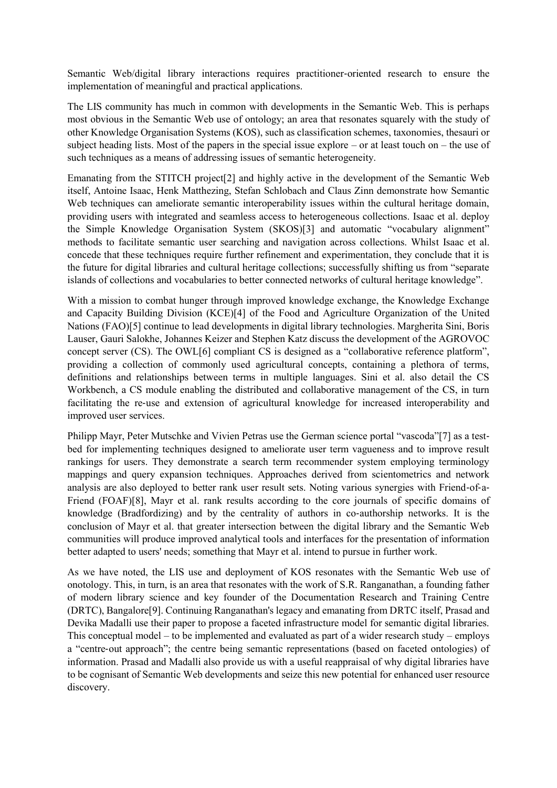Semantic Web/digital library interactions requires practitioner–oriented research to ensure the implementation of meaningful and practical applications.

The LIS community has much in common with developments in the Semantic Web. This is perhaps most obvious in the Semantic Web use of ontology; an area that resonates squarely with the study of other Knowledge Organisation Systems (KOS), such as classification schemes, taxonomies, thesauri or subject heading lists. Most of the papers in the special issue explore – or at least touch on – the use of such techniques as a means of addressing issues of semantic heterogeneity.

Emanating from the STITCH project[2] and highly active in the development of the Semantic Web itself, Antoine Isaac, Henk Matthezing, Stefan Schlobach and Claus Zinn demonstrate how Semantic Web techniques can ameliorate semantic interoperability issues within the cultural heritage domain, providing users with integrated and seamless access to heterogeneous collections. Isaac et al. deploy the Simple Knowledge Organisation System (SKOS)[3] and automatic "vocabulary alignment" methods to facilitate semantic user searching and navigation across collections. Whilst Isaac et al. concede that these techniques require further refinement and experimentation, they conclude that it is the future for digital libraries and cultural heritage collections; successfully shifting us from "separate islands of collections and vocabularies to better connected networks of cultural heritage knowledge".

With a mission to combat hunger through improved knowledge exchange, the Knowledge Exchange and Capacity Building Division (KCE)[4] of the Food and Agriculture Organization of the United Nations (FAO)[5] continue to lead developments in digital library technologies. Margherita Sini, Boris Lauser, Gauri Salokhe, Johannes Keizer and Stephen Katz discuss the development of the AGROVOC concept server (CS). The OWL[6] compliant CS is designed as a "collaborative reference platform", providing a collection of commonly used agricultural concepts, containing a plethora of terms, definitions and relationships between terms in multiple languages. Sini et al. also detail the CS Workbench, a CS module enabling the distributed and collaborative management of the CS, in turn facilitating the re-use and extension of agricultural knowledge for increased interoperability and improved user services.

Philipp Mayr, Peter Mutschke and Vivien Petras use the German science portal "vascoda"[7] as a testbed for implementing techniques designed to ameliorate user term vagueness and to improve result rankings for users. They demonstrate a search term recommender system employing terminology mappings and query expansion techniques. Approaches derived from scientometrics and network analysis are also deployed to better rank user result sets. Noting various synergies with Friend‐of‐a‐ Friend (FOAF)[8], Mayr et al. rank results according to the core journals of specific domains of knowledge (Bradfordizing) and by the centrality of authors in co-authorship networks. It is the conclusion of Mayr et al. that greater intersection between the digital library and the Semantic Web communities will produce improved analytical tools and interfaces for the presentation of information better adapted to users' needs; something that Mayr et al. intend to pursue in further work.

As we have noted, the LIS use and deployment of KOS resonates with the Semantic Web use of onotology. This, in turn, is an area that resonates with the work of S.R. Ranganathan, a founding father of modern library science and key founder of the Documentation Research and Training Centre (DRTC), Bangalore[9]. Continuing Ranganathan's legacy and emanating from DRTC itself, Prasad and Devika Madalli use their paper to propose a faceted infrastructure model for semantic digital libraries. This conceptual model – to be implemented and evaluated as part of a wider research study – employs a "centre‐out approach"; the centre being semantic representations (based on faceted ontologies) of information. Prasad and Madalli also provide us with a useful reappraisal of why digital libraries have to be cognisant of Semantic Web developments and seize this new potential for enhanced user resource discovery.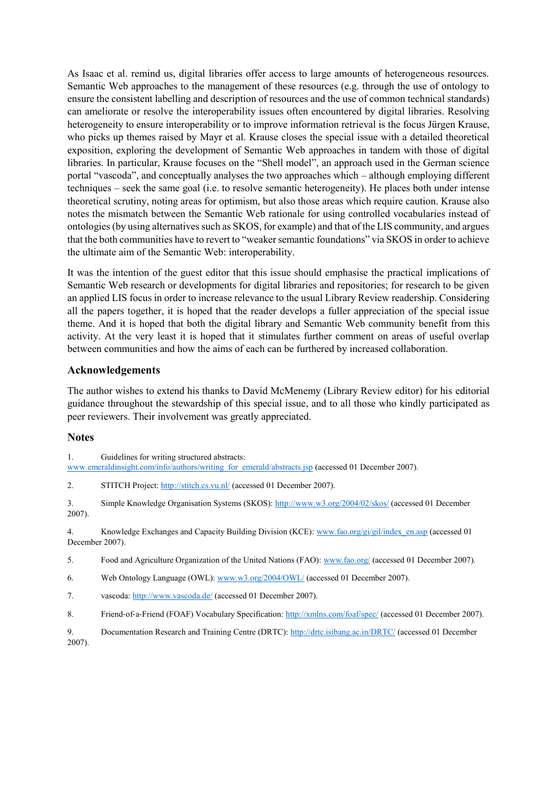As Isaac et al. remind us, digital libraries offer access to large amounts of heterogeneous resources. Semantic Web approaches to the management of these resources (e.g. through the use of ontology to ensure the consistent labelling and description of resources and the use of common technical standards) can ameliorate or resolve the interoperability issues often encountered by digital libraries. Resolving heterogeneity to ensure interoperability or to improve information retrieval is the focus Jürgen Krause, who picks up themes raised by Mayr et al. Krause closes the special issue with a detailed theoretical exposition, exploring the development of Semantic Web approaches in tandem with those of digital libraries. In particular, Krause focuses on the "Shell model", an approach used in the German science portal "vascoda", and conceptually analyses the two approaches which – although employing different techniques – seek the same goal (i.e. to resolve semantic heterogeneity). He places both under intense theoretical scrutiny, noting areas for optimism, but also those areas which require caution. Krause also notes the mismatch between the Semantic Web rationale for using controlled vocabularies instead of ontologies (by using alternatives such as SKOS, for example) and that of the LIS community, and argues that the both communities have to revert to "weaker semantic foundations" via SKOS in order to achieve the ultimate aim of the Semantic Web: interoperability.

It was the intention of the guest editor that this issue should emphasise the practical implications of Semantic Web research or developments for digital libraries and repositories; for research to be given an applied LIS focus in order to increase relevance to the usual Library Review readership. Considering all the papers together, it is hoped that the reader develops a fuller appreciation of the special issue theme. And it is hoped that both the digital library and Semantic Web community benefit from this activity. At the very least it is hoped that it stimulates further comment on areas of useful overlap between communities and how the aims of each can be furthered by increased collaboration.

### **Acknowledgements**

The author wishes to extend his thanks to David McMenemy (Library Review editor) for his editorial guidance throughout the stewardship of this special issue, and to all those who kindly participated as peer reviewers. Their involvement was greatly appreciated.

#### **Notes**

1. Guidelines for writing structured abstracts: [www.emeraldinsight.com/info/authors/writing\\_for\\_emerald/abstracts.jsp](http://www.emeraldinsight.com/info/authors/writing_for_emerald/abstracts.jsp) (accessed 01 December 2007).

2. STITCH Project:<http://stitch.cs.vu.nl/> (accessed 01 December 2007).

3. Simple Knowledge Organisation Systems (SKOS):<http://www.w3.org/2004/02/skos/> (accessed 01 December 2007).

4. Knowledge Exchanges and Capacity Building Division (KCE): [www.fao.org/gi/gil/index\\_en.asp](http://www.fao.org/gi/gil/index_en.asp) (accessed 01 December 2007).

5. Food and Agriculture Organization of the United Nations (FAO)[: www.fao.org/](http://www.fao.org/) (accessed 01 December 2007).

6. Web Ontology Language (OWL)[: www.w3.org/2004/OWL/](http://www.w3.org/2004/OWL/) (accessed 01 December 2007).

7. vascoda[: http://www.vascoda.de/](http://www.vascoda.de/) (accessed 01 December 2007).

8. Friend-of-a-Friend (FOAF) Vocabulary Specification[: http://xmlns.com/foaf/spec/](http://xmlns.com/foaf/spec/) (accessed 01 December 2007).

9. Documentation Research and Training Centre (DRTC)[: http://drtc.isibang.ac.in/DRTC/](http://drtc.isibang.ac.in/DRTC/) (accessed 01 December 2007).